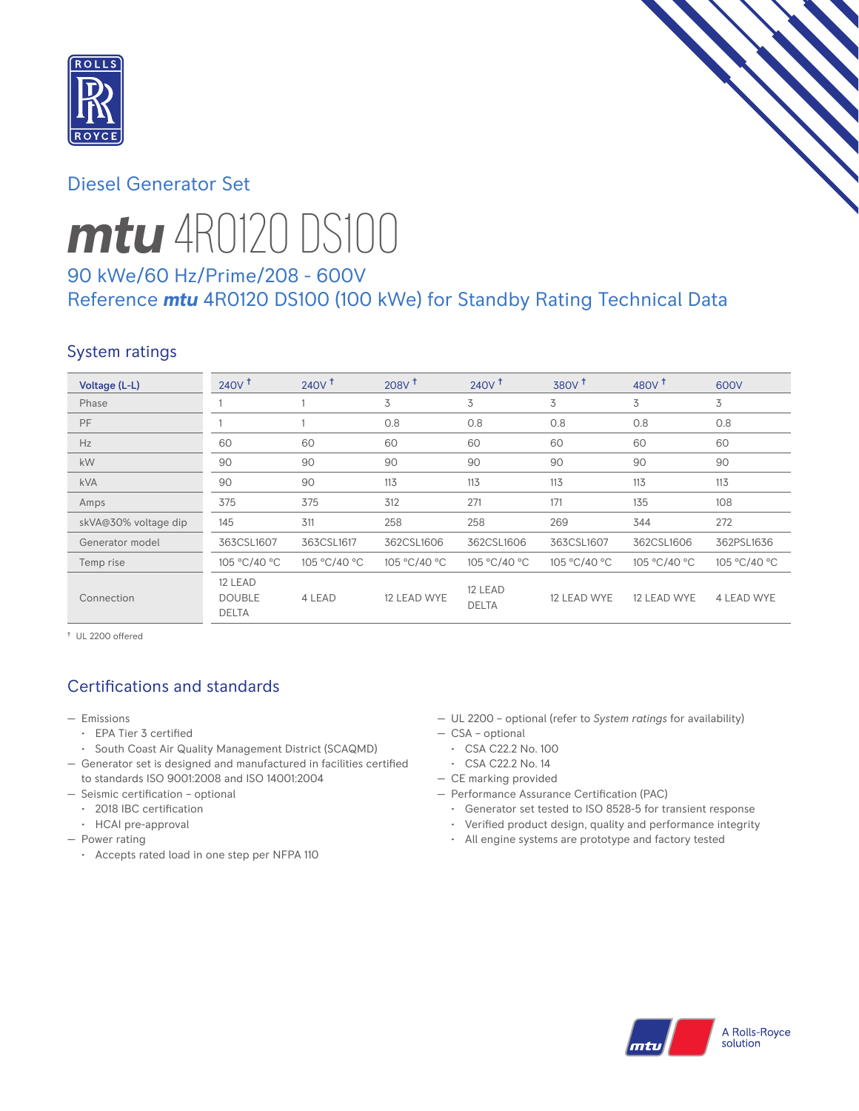

# Diesel Generator Set



# *mtu* 4R0120 DS100

# 90 kWe/60 Hz/Prime/208 - 600V Reference *mtu* 4R0120 DS100 (100 kWe) for Standby Rating Technical Data

# System ratings

| Voltage (L-L)        | $240V$ <sup>+</sup>                      | $240V$ <sup>+</sup> | 208V <sup>†</sup> | 240V <sup>†</sup>       | 380V <sup>+</sup> | 480 $V†$     | 600V         |
|----------------------|------------------------------------------|---------------------|-------------------|-------------------------|-------------------|--------------|--------------|
| Phase                |                                          |                     | 3                 | 3                       | 3                 | 3            | 3            |
| <b>PF</b>            |                                          |                     | 0.8               | 0.8                     | 0.8               | 0.8          | 0.8          |
| Hz                   | 60                                       | 60                  | 60                | 60                      | 60                | 60           | 60           |
| kW                   | 90                                       | 90                  | 90                | 90                      | 90                | 90           | 90           |
| <b>kVA</b>           | 90                                       | 90                  | 113               | 113                     | 113               | 113          | 113          |
| Amps                 | 375                                      | 375                 | 312               | 271                     | 171               | 135          | 108          |
| skVA@30% voltage dip | 145                                      | 311                 | 258               | 258                     | 269               | 344          | 272          |
| Generator model      | 363CSL1607                               | 363CSL1617          | 362CSL1606        | 362CSL1606              | 363CSL1607        | 362CSL1606   | 362PSL1636   |
| Temp rise            | 105 °C/40 °C                             | 105 °C/40 °C        | 105 °C/40 °C      | 105 °C/40 °C            | 105 °C/40 °C      | 105 °C/40 °C | 105 °C/40 °C |
| Connection           | 12 LEAD<br><b>DOUBLE</b><br><b>DELTA</b> | 4 LEAD              | 12 LEAD WYE       | 12 LEAD<br><b>DELTA</b> | 12 LEAD WYE       | 12 LEAD WYE  | 4 LEAD WYE   |

† UL 2200 offered

# Certifications and standards

- Emissions
	- EPA Tier 3 certified
	- South Coast Air Quality Management District (SCAQMD)
- Generator set is designed and manufactured in facilities certified to standards ISO 9001:2008 and ISO 14001:2004
- Seismic certification optional
	- 2018 IBC certification
	- HCAI pre-approval
- Power rating
	- Accepts rated load in one step per NFPA 110
- UL 2200 optional (refer to *System ratings* for availability)
- CSA optional
- CSA C22.2 No. 100
- CSA C22.2 No. 14
- CE marking provided
- Performance Assurance Certification (PAC)
	- Generator set tested to ISO 8528-5 for transient response
	- Verified product design, quality and performance integrity
	- All engine systems are prototype and factory tested

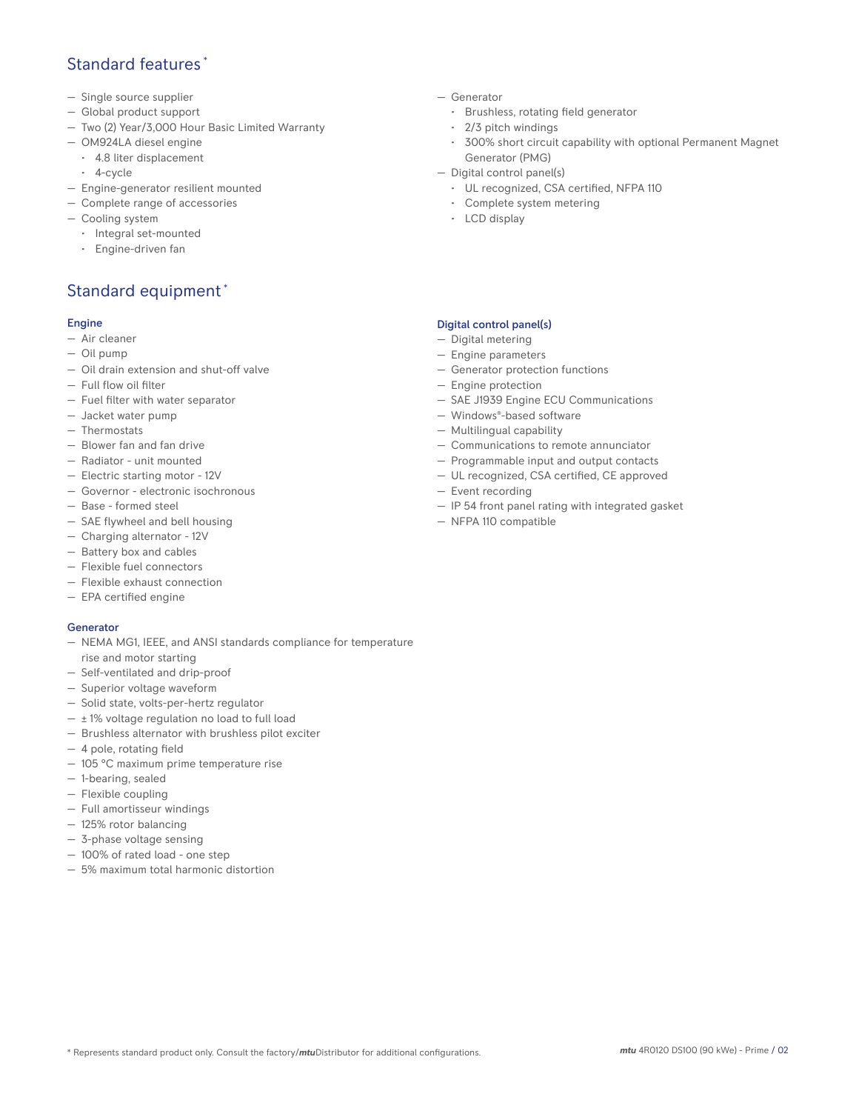## Standard features \*

- Single source supplier
- Global product support
- Two (2) Year/3,000 Hour Basic Limited Warranty
- OM924LA diesel engine
	- 4.8 liter displacement
	- 4-cycle
- Engine-generator resilient mounted
- Complete range of accessories
- Cooling system
	- Integral set-mounted
	- Engine-driven fan

# Standard equipment \*

#### Engine

- Air cleaner
- Oil pump
- Oil drain extension and shut-off valve
- Full flow oil filter
- Fuel filter with water separator
- Jacket water pump
- Thermostats
- Blower fan and fan drive
- Radiator unit mounted
- Electric starting motor 12V
- Governor electronic isochronous
- Base formed steel
- SAE flywheel and bell housing
- Charging alternator 12V
- Battery box and cables
- Flexible fuel connectors
- Flexible exhaust connection
- EPA certified engine

#### Generator

- NEMA MG1, IEEE, and ANSI standards compliance for temperature rise and motor starting
- Self-ventilated and drip-proof
- Superior voltage waveform
- Solid state, volts-per-hertz regulator
- $\pm$  1% voltage regulation no load to full load
- Brushless alternator with brushless pilot exciter
- 4 pole, rotating field
- 105 °C maximum prime temperature rise
- 1-bearing, sealed
- Flexible coupling
- Full amortisseur windings
- 125% rotor balancing
- 3-phase voltage sensing
- 100% of rated load one step
- 5% maximum total harmonic distortion
- Generator
	- Brushless, rotating field generator
	- 2/3 pitch windings
	- 300% short circuit capability with optional Permanent Magnet Generator (PMG)
- Digital control panel(s)
	- UL recognized, CSA certified, NFPA 110
	- Complete system metering
	- LCD display

#### Digital control panel(s)

- Digital metering
- Engine parameters
- Generator protection functions
- Engine protection
- SAE J1939 Engine ECU Communications
- Windows®-based software
- Multilingual capability
- Communications to remote annunciator
- Programmable input and output contacts
- UL recognized, CSA certified, CE approved
- Event recording
- IP 54 front panel rating with integrated gasket
- NFPA 110 compatible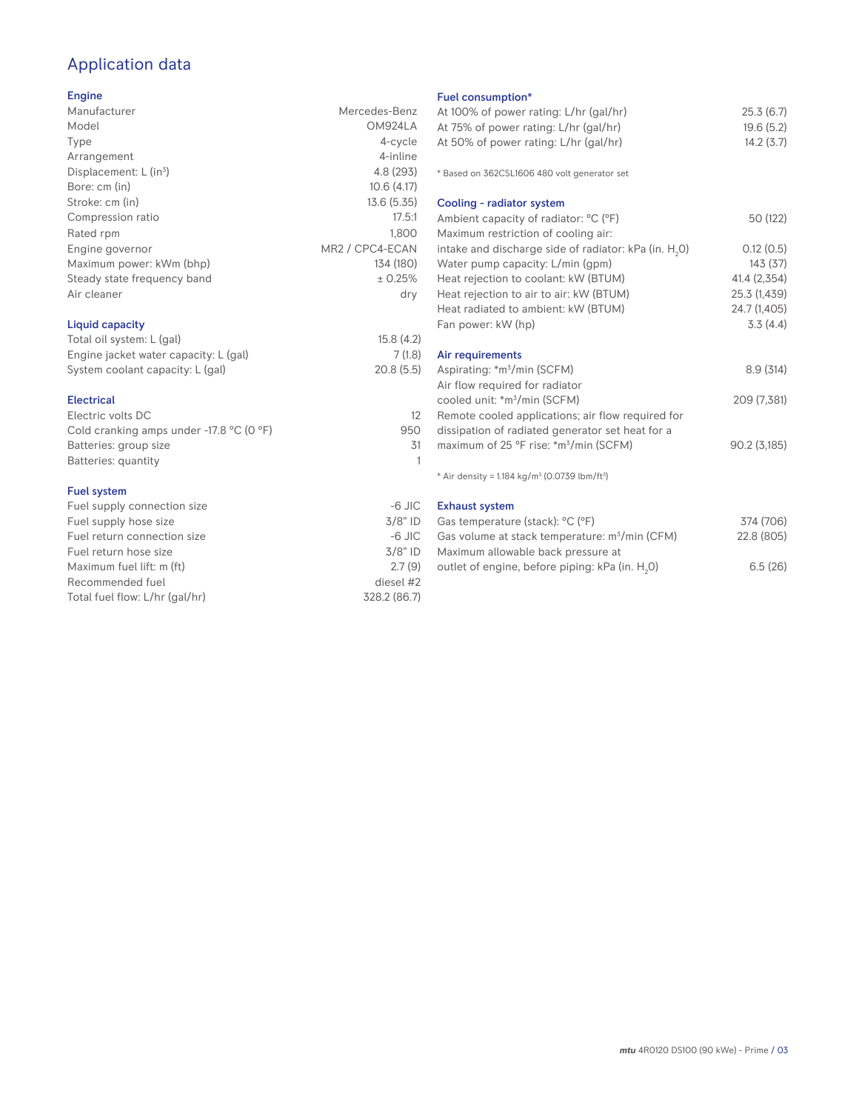# Application data

### Engine

| Manufacturer                | Mercedes-Benz   |
|-----------------------------|-----------------|
| Model                       | OM924LA         |
| Type                        | 4-cycle         |
| Arrangement                 | 4-inline        |
| Displacement: $L (in3)$     | 4.8 (293)       |
| Bore: cm (in)               | 10.6(4.17)      |
| Stroke: cm (in)             | 13.6(5.35)      |
| Compression ratio           | 17.5:1          |
| Rated rpm                   | 1.800           |
| Engine governor             | MR2 / CPC4-ECAN |
| Maximum power: kWm (bhp)    | 134 (180)       |
| Steady state frequency band | ± 0.25%         |
| Air cleaner                 | dry             |
| Liquid capacity             |                 |
| Total oil system: L (gal)   | 15.8(4.2)       |

## Engine jacket water capacity: L (gal) 7 (1.8)<br>System coolant capacity: L (gal) 20.8 (5.5) System coolant capacity: L (gal)

#### Electrical Electric volts DC 12 Cold cranking amps under -17.8 °C (0 °F) 950 Batteries: group size 31 Batteries: quantity 1

#### Fuel system

| Fuel supply connection size    | $-6$ JIC     |
|--------------------------------|--------------|
| Fuel supply hose size          | $3/8"$ ID    |
| Fuel return connection size    | $-6$ JIC     |
| Fuel return hose size          | $3/8"$ ID    |
| Maximum fuel lift: m (ft)      | 2.7(9)       |
| Recommended fuel               | diesel #2    |
| Total fuel flow: L/hr (gal/hr) | 328.2 (86.7) |

## Fuel consumption\*

| Fuel consumption <sup>*</sup>                                           |              |
|-------------------------------------------------------------------------|--------------|
| At 100% of power rating: L/hr (gal/hr)                                  | 25.3(6.7)    |
| At 75% of power rating: L/hr (gal/hr)                                   | 19.6(5.2)    |
| At 50% of power rating: L/hr (gal/hr)                                   | 14.2(3.7)    |
|                                                                         |              |
| * Based on 362CSL1606 480 volt generator set                            |              |
| Cooling - radiator system                                               |              |
| Ambient capacity of radiator: °C (°F)                                   | 50 (122)     |
| Maximum restriction of cooling air:                                     |              |
| intake and discharge side of radiator: kPa (in. $H_2O$ )                | 0.12(0.5)    |
| Water pump capacity: L/min (gpm)                                        | 143(37)      |
| Heat rejection to coolant: kW (BTUM)                                    | 41.4 (2,354) |
| Heat rejection to air to air: kW (BTUM)                                 | 25.3 (1,439) |
| Heat radiated to ambient: kW (BTUM)                                     | 24.7 (1,405) |
| Fan power: kW (hp)                                                      | 3.3(4.4)     |
|                                                                         |              |
| Air requirements                                                        |              |
| Aspirating: *m <sup>3</sup> /min (SCFM)                                 | 8.9(314)     |
| Air flow required for radiator                                          |              |
| cooled unit: *m <sup>3</sup> /min (SCFM)                                | 209 (7,381)  |
| Remote cooled applications; air flow required for                       |              |
| dissipation of radiated generator set heat for a                        |              |
| maximum of 25 °F rise: *m <sup>3</sup> /min (SCFM)                      | 90.2(3,185)  |
|                                                                         |              |
| * Air density = $1.184$ kg/m <sup>3</sup> (0.0739 lbm/ft <sup>3</sup> ) |              |
| <b>Exhaust system</b>                                                   |              |
| Gas temperature (stack) <sup>, o</sup> C (°F)                           | 374 (706)    |
|                                                                         |              |

| Gas temperature (stack): °C (°F)                            | 374 (706)  |
|-------------------------------------------------------------|------------|
| Gas volume at stack temperature: m <sup>3</sup> /min (CFM)  | 22.8 (805) |
| Maximum allowable back pressure at                          |            |
| outlet of engine, before piping: kPa (in. H <sub>2</sub> 0) | 6.5(26)    |
|                                                             |            |